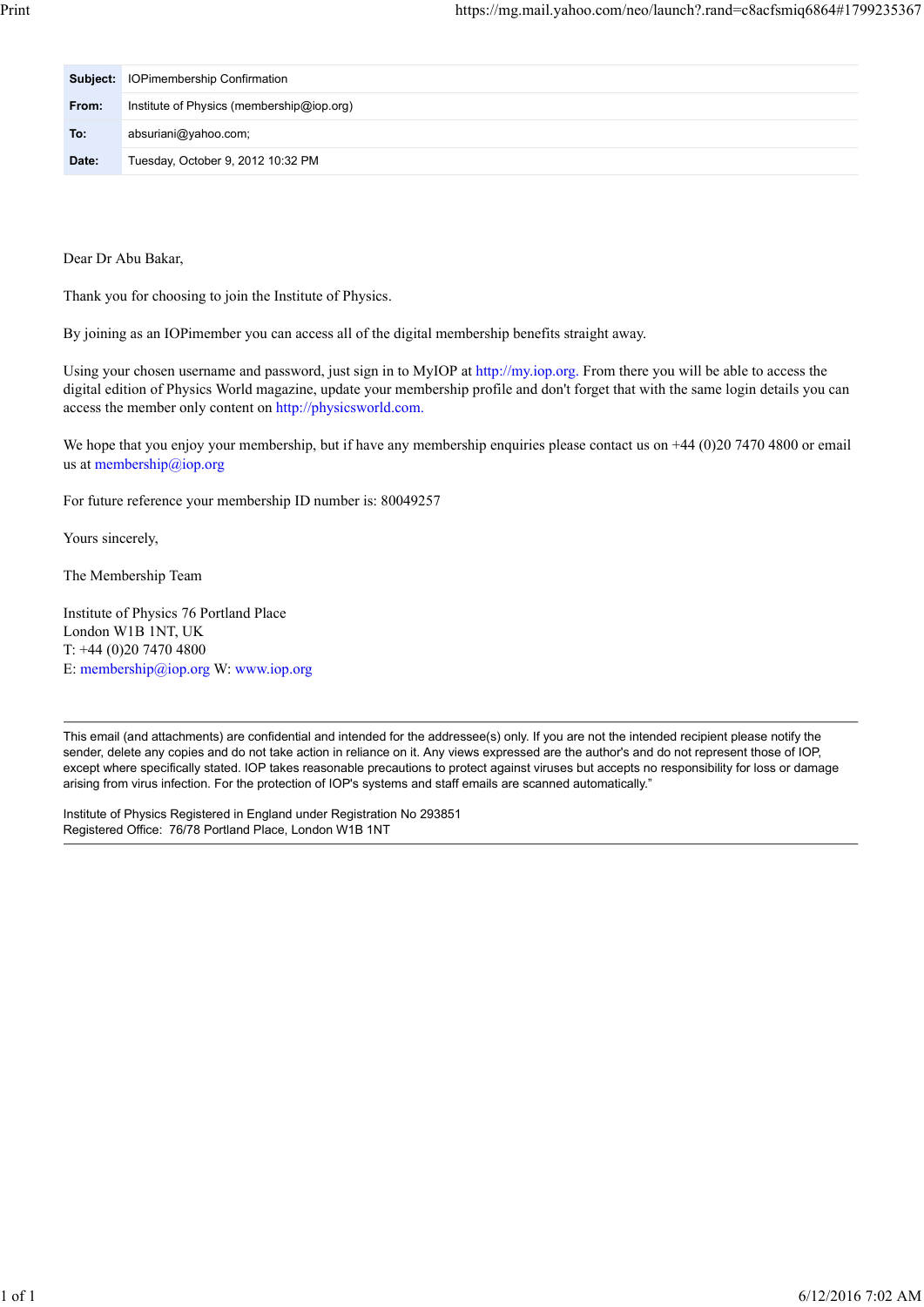|       | <b>Subject:</b> IOPimembership Confirmation |  |
|-------|---------------------------------------------|--|
| From: | Institute of Physics (membership@iop.org)   |  |
| To:   | absuriani@yahoo.com;                        |  |
| Date: | Tuesday, October 9, 2012 10:32 PM           |  |

Dear Dr Abu Bakar,

Thank you for choosing to join the Institute of Physics.

By joining as an IOPimember you can access all of the digital membership benefits straight away.

Using your chosen username and password, just sign in to MyIOP at http://my.iop.org. From there you will be able to access the digital edition of Physics World magazine, update your membership profile and don't forget that with the same login details you can access the member only content on http://physicsworld.com.

We hope that you enjoy your membership, but if have any membership enquiries please contact us on +44 (0)20 7470 4800 or email us at membership@iop.org

For future reference your membership ID number is: 80049257

Yours sincerely,

The Membership Team

Institute of Physics 76 Portland Place London W1B 1NT, UK T: +44 (0)20 7470 4800 E: membership@iop.org W: www.iop.org

This email (and attachments) are confidential and intended for the addressee(s) only. If you are not the intended recipient please notify the sender, delete any copies and do not take action in reliance on it. Any views expressed are the author's and do not represent those of IOP, except where specifically stated. IOP takes reasonable precautions to protect against viruses but accepts no responsibility for loss or damage arising from virus infection. For the protection of IOP's systems and staff emails are scanned automatically."

Institute of Physics Registered in England under Registration No 293851 Registered Office: 76/78 Portland Place, London W1B 1NT